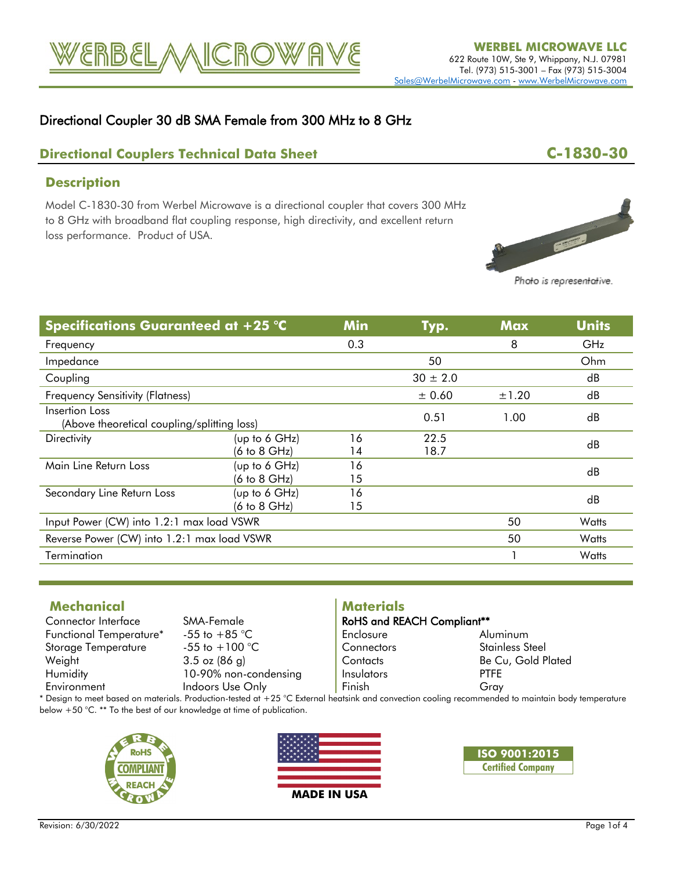

## Directional Coupler 30 dB SMA Female from 300 MHz to 8 GHz

## **Directional Couplers Technical Data Sheet C-1830-30**

### **Description**

Model C-1830-30 from Werbel Microwave is a directional coupler that covers 300 MHz to 8 GHz with broadband flat coupling response, high directivity, and excellent return loss performance. Product of USA.



Photo is representative.

| <b>Specifications Guaranteed at +25 °C</b>                    |                                 | <b>Min</b> | Typ.         | <b>Max</b> | <b>Units</b> |
|---------------------------------------------------------------|---------------------------------|------------|--------------|------------|--------------|
| Frequency                                                     |                                 | 0.3        |              | 8          | <b>GHz</b>   |
| Impedance                                                     |                                 |            | 50           |            | Ohm          |
| Coupling                                                      |                                 |            | $30 \pm 2.0$ |            | dB           |
| <b>Frequency Sensitivity (Flatness)</b>                       |                                 |            | ± 0.60       | ±1.20      | dB           |
| Insertion Loss<br>(Above theoretical coupling/splitting loss) |                                 |            | 0.51         | 1.00       | dB           |
| <b>Directivity</b>                                            | (up to 6 GHz)                   | 16         | 22.5         |            | dB           |
|                                                               | (6 to 8 GHz)                    | 14         | 18.7         |            |              |
| Main Line Return Loss                                         | (up to 6 GHz)                   | 16         |              |            | dB           |
|                                                               | $(6 \text{ to } 8 \text{ GHz})$ | 15         |              |            |              |
| Secondary Line Return Loss                                    | (up to 6 GHz)                   | 16         |              |            | dB           |
|                                                               | $(6 \text{ to } 8 \text{ GHz})$ | 15         |              |            |              |
| Input Power (CW) into 1.2:1 max load VSWR                     |                                 |            |              | 50         | Watts        |
| Reverse Power (CW) into 1.2:1 max load VSWR                   |                                 |            |              | 50         | Watts        |
| Termination                                                   |                                 |            |              | Watts      |              |

### **Mechanical**

Connector Interface SMA-Female<br>Functional Temperature\* -55 to +85 °C Functional Temperature\* -55 to +85 °C<br>Storage Temperature -55 to +100 °C Storage Temperature<br>Weight

 $3.5$  oz (86 g) Humidity 10-90% non-condensing<br>
Environment<br>
Indoors Use Only Indoors Use Only

# **Materials**

| <b>RoHS and REACH Compliant**</b> |                                                           |
|-----------------------------------|-----------------------------------------------------------|
| Enclosure                         | Aluminum                                                  |
| Connectors                        | Stainless Steel                                           |
| Contacts                          | Be Cu, Gold Plated                                        |
| Insulators                        | <b>PTFE</b>                                               |
| Finish                            | Gray                                                      |
|                                   | atsink and convection cooling recommended to maintain bod |

\* Design to meet based on materials. Production-tested at +25 °C External heatsink and convection cooling recommended to maintain body temperature below +50 °C. \*\* To the best of our knowledge at time of publication.





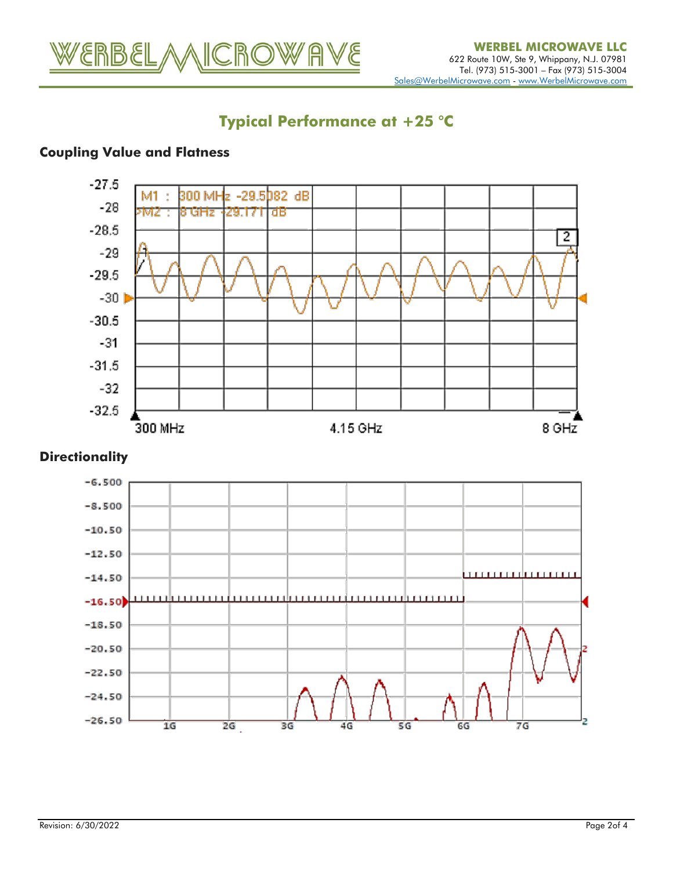

# **Typical Performance at +25 °C**

# **Coupling Value and Flatness**



### **Directionality**

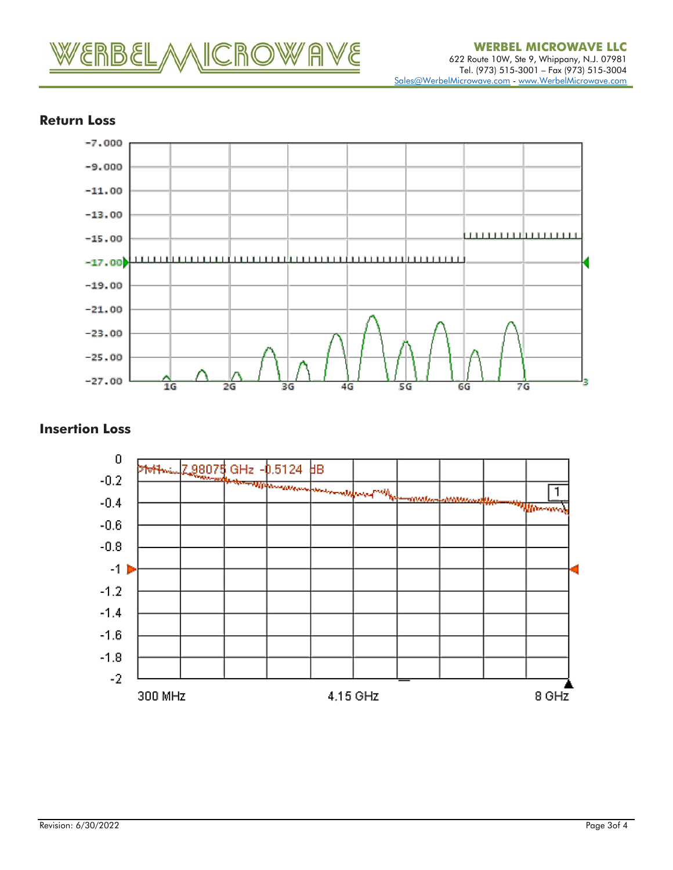



### **Return Loss**

### **Insertion Loss**